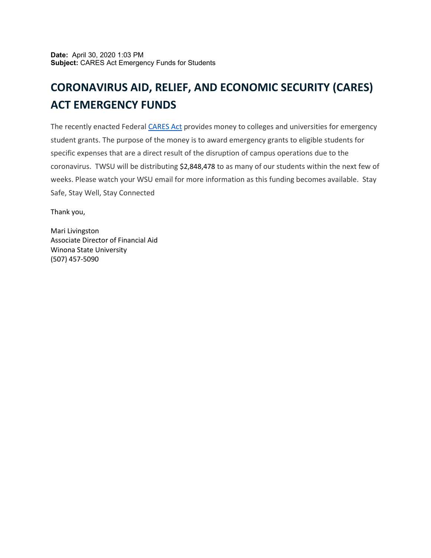## **CORONAVIRUS AID, RELIEF, AND ECONOMIC SECURITY (CARES) ACT EMERGENCY FUNDS**

The recently enacted Federal [CARES](https://nam02.safelinks.protection.outlook.com/?url=https%3A%2F%2Fwww.ed.gov%2Fnews%2Fpress-releases%2Fsecretary-devos-delivers-6-billion-additional-grant-funding-support-continued-education-americas-colleges-universities&data=04%7C01%7Cbayers%40winona.edu%7C5ee1218c1cd84d8fb19108d8c3aa865e%7C5011c7c60ab446ab9ef4fae74a921a7f%7C0%7C0%7C637474484459410018%7CUnknown%7CTWFpbGZsb3d8eyJWIjoiMC4wLjAwMDAiLCJQIjoiV2luMzIiLCJBTiI6Ik1haWwiLCJXVCI6Mn0%3D%7C1000&sdata=T%2BL%2BgqYo9eEKIH4pnPc3Vfl%2FkEmsS8NpCT4rng1ff%2FE%3D&reserved=0) Act provides money to colleges and universities for emergency student grants. The purpose of the money is to award emergency grants to eligible students for specific expenses that are a direct result of the disruption of campus operations due to the coronavirus. TWSU will be distributing \$2,848,478 to as many of our students within the next few of weeks. Please watch your WSU email for more information as this funding becomes available. Stay Safe, Stay Well, Stay Connected

Thank you,

Mari Livingston Associate Director of Financial Aid Winona State University (507) 457-5090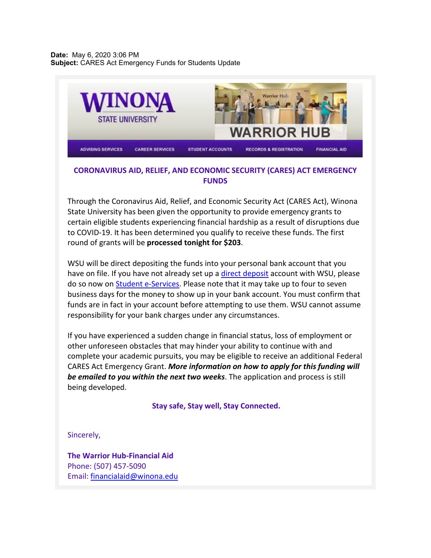**Date:** May 6, 2020 3:06 PM **Subject:** CARES Act Emergency Funds for Students Update



## **CORONAVIRUS AID, RELIEF, AND ECONOMIC SECURITY (CARES) ACT EMERGENCY FUNDS**

Through the Coronavirus Aid, Relief, and Economic Security Act (CARES Act), Winona State University has been given the opportunity to provide emergency grants to certain eligible students experiencing financial hardship as a result of disruptions due to COVID-19. It has been determined you qualify to receive these funds. The first round of grants will be **processed tonight for \$203**.

WSU will be direct depositing the funds into your personal bank account that you have on file. If you have not already set up a [direct deposit](https://nam02.safelinks.protection.outlook.com/?url=https%3A%2F%2Fwww.winona.edu%2Fbilling%2Fdirectdeposit.asp&data=04%7C01%7Cbayers%40winona.edu%7Ce4dcc4b9d6c84faad00a08d8c3aa9922%7C5011c7c60ab446ab9ef4fae74a921a7f%7C0%7C0%7C637474484763362652%7CUnknown%7CTWFpbGZsb3d8eyJWIjoiMC4wLjAwMDAiLCJQIjoiV2luMzIiLCJBTiI6Ik1haWwiLCJXVCI6Mn0%3D%7C1000&sdata=RLRlm6e%2BsaPlJWwv2ZBzwXFZx16Jl3cn5MXPPrmW0u8%3D&reserved=0) account with WSU, please do so now on [Student e-Services.](https://nam02.safelinks.protection.outlook.com/?url=https%3A%2F%2Feservices.minnstate.edu%2Fesession%2Fauthentication.do%3FcampusId%3D074%26postAuthUrl%3Dhttp%253A%252F%252Feservices.minnstate.edu%252Fregistration%252Fsecure%252Fsearch%252Fbasic.html%253Fcampusid%253D074&data=04%7C01%7Cbayers%40winona.edu%7Ce4dcc4b9d6c84faad00a08d8c3aa9922%7C5011c7c60ab446ab9ef4fae74a921a7f%7C0%7C0%7C637474484763362652%7CUnknown%7CTWFpbGZsb3d8eyJWIjoiMC4wLjAwMDAiLCJQIjoiV2luMzIiLCJBTiI6Ik1haWwiLCJXVCI6Mn0%3D%7C1000&sdata=uW9IzSkUHVXlejAGwg9YC35un0kZRqxI3jINVrS5aws%3D&reserved=0) Please note that it may take up to four to seven business days for the money to show up in your bank account. You must confirm that funds are in fact in your account before attempting to use them. WSU cannot assume responsibility for your bank charges under any circumstances.

If you have experienced a sudden change in financial status, loss of employment or other unforeseen obstacles that may hinder your ability to continue with and complete your academic pursuits, you may be eligible to receive an additional Federal CARES Act Emergency Grant. *More information on how to apply for this funding will be emailed to you within the next two weeks*. The application and process is still being developed.

**Stay safe, Stay well, Stay Connected.**

Sincerely,

**The Warrior Hub-Financial Aid** Phone: (507) 457-5090 Email: [financialaid@winona.edu](mailto:financialaid@winona.edu)